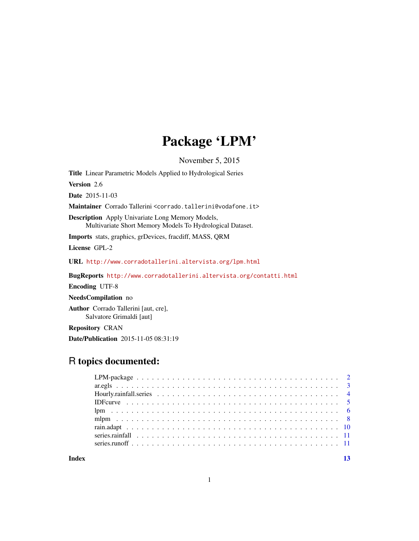# Package 'LPM'

November 5, 2015

Title Linear Parametric Models Applied to Hydrological Series Version 2.6 Date 2015-11-03 Maintainer Corrado Tallerini <corrado.tallerini@vodafone.it> Description Apply Univariate Long Memory Models, Multivariate Short Memory Models To Hydrological Dataset. Imports stats, graphics, grDevices, fracdiff, MASS, QRM

License GPL-2

URL <http://www.corradotallerini.altervista.org/lpm.html>

BugReports <http://www.corradotallerini.altervista.org/contatti.html>

Encoding UTF-8

NeedsCompilation no

Author Corrado Tallerini [aut, cre], Salvatore Grimaldi [aut]

Repository CRAN

Date/Publication 2015-11-05 08:31:19

# R topics documented:

**Index** [13](#page-12-0)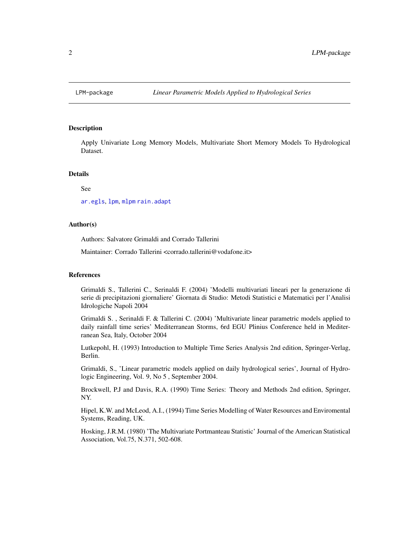<span id="page-1-0"></span>

Apply Univariate Long Memory Models, Multivariate Short Memory Models To Hydrological Dataset.

#### Details

#### See

[ar.egls](#page-2-1), [lpm](#page-5-1), [mlpm](#page-7-1) [rain.adapt](#page-9-1)

#### Author(s)

Authors: Salvatore Grimaldi and Corrado Tallerini

Maintainer: Corrado Tallerini <corrado.tallerini@vodafone.it>

#### References

Grimaldi S., Tallerini C., Serinaldi F. (2004) 'Modelli multivariati lineari per la generazione di serie di precipitazioni giornaliere' Giornata di Studio: Metodi Statistici e Matematici per l'Analisi Idrologiche Napoli 2004

Grimaldi S. , Serinaldi F. & Tallerini C. (2004) 'Multivariate linear parametric models applied to daily rainfall time series' Mediterranean Storms, 6rd EGU Plinius Conference held in Mediterranean Sea, Italy, October 2004

Lutkepohl, H. (1993) Introduction to Multiple Time Series Analysis 2nd edition, Springer-Verlag, Berlin.

Grimaldi, S., 'Linear parametric models applied on daily hydrological series', Journal of Hydrologic Engineering, Vol. 9, No 5 , September 2004.

Brockwell, P.J and Davis, R.A. (1990) Time Series: Theory and Methods 2nd edition, Springer, NY.

Hipel, K.W. and McLeod, A.I., (1994) Time Series Modelling of Water Resources and Enviromental Systems, Reading, UK.

Hosking, J.R.M. (1980) 'The Multivariate Portmanteau Statistic' Journal of the American Statistical Association, Vol.75, N.371, 502-608.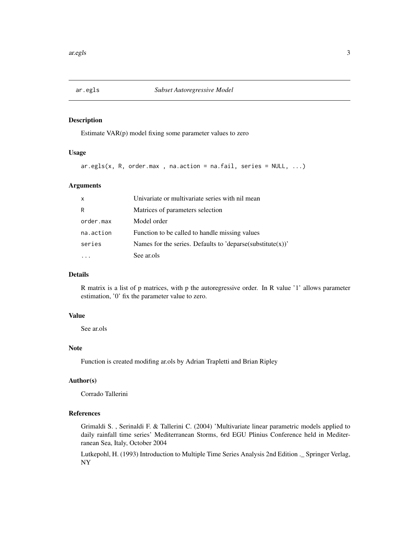<span id="page-2-1"></span><span id="page-2-0"></span>

Estimate VAR(p) model fixing some parameter values to zero

#### Usage

```
ar.egls(x, R, order.max, na.action = na.fail, series = NULL, ...)
```
#### Arguments

| $\mathsf{x}$ | Univariate or multivariate series with nil mean            |
|--------------|------------------------------------------------------------|
| R            | Matrices of parameters selection                           |
| order.max    | Model order                                                |
| na.action    | Function to be called to handle missing values             |
| series       | Names for the series. Defaults to 'deparse(substitute(x))' |
|              | See arols                                                  |

# Details

R matrix is a list of p matrices, with p the autoregressive order. In R value '1' allows parameter estimation, '0' fix the parameter value to zero.

# Value

See ar.ols

#### Note

Function is created modifing ar.ols by Adrian Trapletti and Brian Ripley

# Author(s)

Corrado Tallerini

## References

Grimaldi S. , Serinaldi F. & Tallerini C. (2004) 'Multivariate linear parametric models applied to daily rainfall time series' Mediterranean Storms, 6rd EGU Plinius Conference held in Mediterranean Sea, Italy, October 2004

Lutkepohl, H. (1993) Introduction to Multiple Time Series Analysis 2nd Edition .\_ Springer Verlag, NY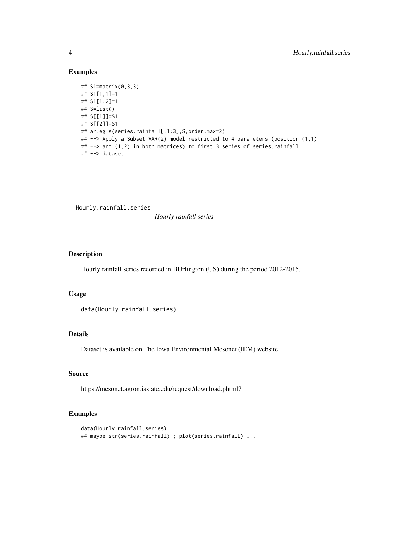#### Examples

```
## S1=matrix(0,3,3)
## S1[1,1]=1
## S1[1,2]=1
## S=list()
## S[[1]]=S1
## S[[2]]=S1
## ar.egls(series.rainfall[,1:3],S,order.max=2)
## --> Apply a Subset VAR(2) model restricted to 4 parameters (position (1,1)
## --> and (1,2) in both matrices) to first 3 series of series.rainfall
## --> dataset
```
Hourly.rainfall.series

*Hourly rainfall series*

#### Description

Hourly rainfall series recorded in BUrlington (US) during the period 2012-2015.

#### Usage

```
data(Hourly.rainfall.series)
```
# Details

Dataset is available on The Iowa Environmental Mesonet (IEM) website

# Source

https://mesonet.agron.iastate.edu/request/download.phtml?

# Examples

```
data(Hourly.rainfall.series)
## maybe str(series.rainfall) ; plot(series.rainfall) ...
```
<span id="page-3-0"></span>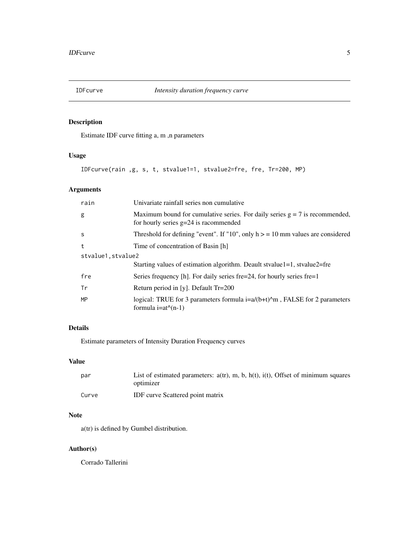<span id="page-4-0"></span>

Estimate IDF curve fitting a, m ,n parameters

# Usage

IDFcurve(rain ,g, s, t, stvalue1=1, stvalue2=fre, fre, Tr=200, MP)

# Arguments

| rain               | Univariate rainfall series non cumulative                                                                                |  |  |  |
|--------------------|--------------------------------------------------------------------------------------------------------------------------|--|--|--|
| g                  | Maximum bound for cumulative series. For daily series $g = 7$ is recommended,<br>for hourly series $g=24$ is racommended |  |  |  |
| -S                 | Threshold for defining "event". If "10", only $h > 10$ mm values are considered                                          |  |  |  |
| t                  | Time of concentration of Basin [h]                                                                                       |  |  |  |
| stvalue1, stvalue2 |                                                                                                                          |  |  |  |
|                    | Starting values of estimation algorithm. Deault stvalue1=1, stvalue2=fre                                                 |  |  |  |
| fre                | Series frequency [h]. For daily series fre=24, for hourly series fre=1                                                   |  |  |  |
| Tr                 | Return period in [y]. Default $Tr=200$                                                                                   |  |  |  |
| MP                 | logical: TRUE for 3 parameters formula $i=a/(b+t)^{n}$ , FALSE for 2 parameters<br>formula $i = at \(n-1)$               |  |  |  |

# Details

Estimate parameters of Intensity Duration Frequency curves

# Value

| par   | List of estimated parameters: $a(tr)$ , m, b, $h(t)$ , $i(t)$ , Offset of minimum squares |
|-------|-------------------------------------------------------------------------------------------|
|       | optimizer                                                                                 |
| Curve | <b>IDF</b> curve Scattered point matrix                                                   |

# Note

a(tr) is defined by Gumbel distribution.

# Author(s)

Corrado Tallerini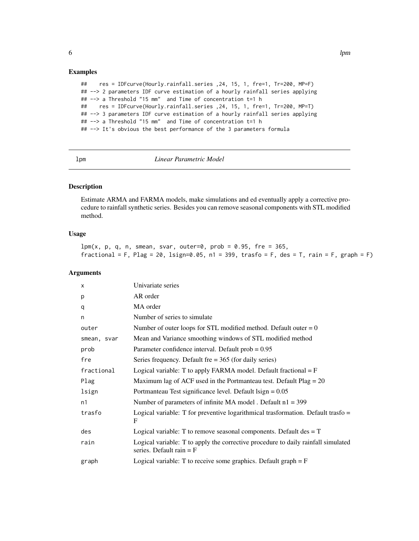# <span id="page-5-0"></span>Examples

## res = IDFcurve(Hourly.rainfall.series ,24, 15, 1, fre=1, Tr=200, MP=F) ## --> 2 parameters IDF curve estimation of a hourly rainfall series applying ## --> a Threshold "15 mm" and Time of concentration t=1 h ## res = IDFcurve(Hourly.rainfall.series ,24, 15, 1, fre=1, Tr=200, MP=T) ## --> 3 parameters IDF curve estimation of a hourly rainfall series applying ## --> a Threshold "15 mm" and Time of concentration t=1 h ## --> It's obvious the best performance of the 3 parameters formula

<span id="page-5-1"></span>

lpm *Linear Parametric Model*

#### Description

Estimate ARMA and FARMA models, make simulations and ed eventually apply a corrective procedure to rainfall synthetic series. Besides you can remove seasonal components with STL modified method.

#### Usage

```
lpm(x, p, q, n, smean, svar, outer=0, prob = 0.95, fre = 365,
fractional = F, Plag = 20, lsign=0.05, n1 = 399, trasfo = F, des = T, rain = F, graph = F)
```
#### Arguments

| X           | Univariate series                                                                                               |
|-------------|-----------------------------------------------------------------------------------------------------------------|
| p           | AR order                                                                                                        |
| q           | MA order                                                                                                        |
| n           | Number of series to simulate                                                                                    |
| outer       | Number of outer loops for STL modified method. Default outer $= 0$                                              |
| smean, svar | Mean and Variance smoothing windows of STL modified method                                                      |
| prob        | Parameter confidence interval. Default $prob = 0.95$                                                            |
| fre         | Series frequency. Default fre $=$ 365 (for daily series)                                                        |
| fractional  | Logical variable: T to apply FARMA model. Default fractional $=$ F                                              |
| Plag        | Maximum lag of ACF used in the Portmanteau test. Default $Plag = 20$                                            |
| lsign       | Portmanteau Test significance level. Default $lsign = 0.05$                                                     |
| n1          | Number of parameters of infinite MA model. Default $nl = 399$                                                   |
| trasfo      | Logical variable: T for preventive logarithmical trasformation. Default trasfo =<br>F                           |
| des         | Logical variable: T to remove seasonal components. Default $des = T$                                            |
| rain        | Logical variable: T to apply the corrective procedure to daily rainfall simulated<br>series. Default rain $=$ F |
| graph       | Logical variable: T to receive some graphics. Default graph $=$ F                                               |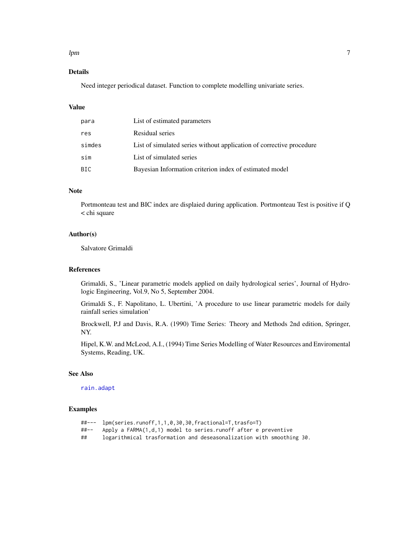#### <span id="page-6-0"></span>lpm  $\,$

# Details

Need integer periodical dataset. Function to complete modelling univariate series.

# Value

| para   | List of estimated parameters                                         |
|--------|----------------------------------------------------------------------|
| res    | Residual series                                                      |
| simdes | List of simulated series without application of corrective procedure |
| sim    | List of simulated series                                             |
| BIC    | Bayesian Information criterion index of estimated model              |

# Note

Portmonteau test and BIC index are displaied during application. Portmonteau Test is positive if Q < chi square

#### Author(s)

Salvatore Grimaldi

## References

Grimaldi, S., 'Linear parametric models applied on daily hydrological series', Journal of Hydrologic Engineering, Vol.9, No 5, September 2004.

Grimaldi S., F. Napolitano, L. Ubertini, 'A procedure to use linear parametric models for daily rainfall series simulation'

Brockwell, P.J and Davis, R.A. (1990) Time Series: Theory and Methods 2nd edition, Springer, NY.

Hipel, K.W. and McLeod, A.I., (1994) Time Series Modelling of Water Resources and Enviromental Systems, Reading, UK.

#### See Also

[rain.adapt](#page-9-1)

#### Examples

|  | ##--- lpm(series.runoff,1,1,0,30,30,fractional=T,trasfo=T) |  |  |  |  |  |
|--|------------------------------------------------------------|--|--|--|--|--|
|--|------------------------------------------------------------|--|--|--|--|--|

##-- Apply a FARMA(1,d,1) model to series.runoff after e preventive

## logarithmical trasformation and deseasonalization with smoothing 30.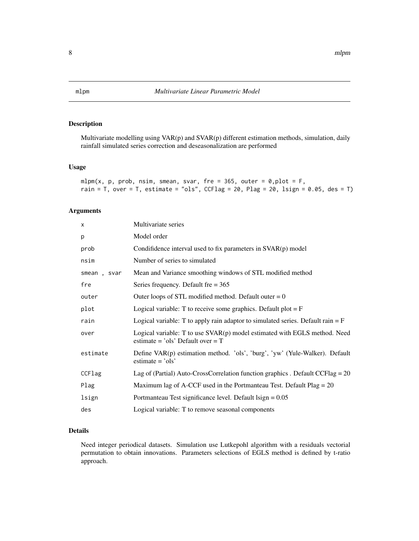<span id="page-7-1"></span><span id="page-7-0"></span>Multivariate modelling using VAR(p) and SVAR(p) different estimation methods, simulation, daily rainfall simulated series correction and deseasonalization are performed

#### Usage

```
mlpm(x, p, prob, nsim, smean, svar, fre = 365, outer = 0, plot = F,
rain = T, over = T, estimate = "ols", CCFlag = 20, Plag = 20, lsign = 0.05, des = T)
```
# Arguments

| X           | Multivariate series                                                                                              |
|-------------|------------------------------------------------------------------------------------------------------------------|
| p           | Model order                                                                                                      |
| prob        | Condifidence interval used to fix parameters in $SVAR(p)$ model                                                  |
| nsim        | Number of series to simulated                                                                                    |
| smean, svar | Mean and Variance smoothing windows of STL modified method                                                       |
| fre         | Series frequency. Default fre $= 365$                                                                            |
| outer       | Outer loops of STL modified method. Default outer $= 0$                                                          |
| plot        | Logical variable: T to receive some graphics. Default $plot = F$                                                 |
| rain        | Logical variable: T to apply rain adaptor to simulated series. Default rain $=$ F                                |
| over        | Logical variable: T to use SVAR(p) model estimated with EGLS method. Need<br>estimate = 'ols' Default over = $T$ |
| estimate    | Define VAR(p) estimation method. 'ols', 'burg', 'yw' (Yule-Walker). Default<br>estimate $=$ 'ols'                |
| CCFlag      | Lag of (Partial) Auto-CrossCorrelation function graphics . Default CCFlag = $20$                                 |
| Plag        | Maximum lag of A-CCF used in the Portmanteau Test. Default $Plag = 20$                                           |
| lsign       | Portmanteau Test significance level. Default $lsign = 0.05$                                                      |
| des         | Logical variable: T to remove seasonal components                                                                |

#### Details

Need integer periodical datasets. Simulation use Lutkepohl algorithm with a residuals vectorial permutation to obtain innovations. Parameters selections of EGLS method is defined by t-ratio approach.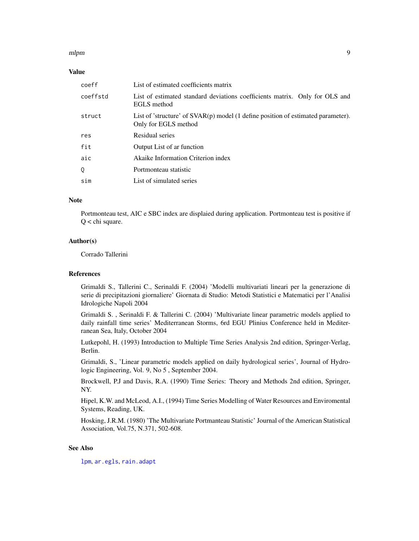#### <span id="page-8-0"></span>mlpm 9

#### Value

| coeff    | List of estimated coefficients matrix                                                                      |
|----------|------------------------------------------------------------------------------------------------------------|
| coeffstd | List of estimated standard deviations coefficients matrix. Only for OLS and<br>EGLS method                 |
| struct   | List of 'structure' of $SVAR(p)$ model (1 define position of estimated parameter).<br>Only for EGLS method |
| res      | Residual series                                                                                            |
| fit      | Output List of ar function                                                                                 |
| aic      | Akaike Information Criterion index                                                                         |
| Q        | Portmonteau statistic                                                                                      |
| sim      | List of simulated series                                                                                   |

#### Note

Portmonteau test, AIC e SBC index are displaied during application. Portmonteau test is positive if Q < chi square.

#### Author(s)

Corrado Tallerini

#### References

Grimaldi S., Tallerini C., Serinaldi F. (2004) 'Modelli multivariati lineari per la generazione di serie di precipitazioni giornaliere' Giornata di Studio: Metodi Statistici e Matematici per l'Analisi Idrologiche Napoli 2004

Grimaldi S. , Serinaldi F. & Tallerini C. (2004) 'Multivariate linear parametric models applied to daily rainfall time series' Mediterranean Storms, 6rd EGU Plinius Conference held in Mediterranean Sea, Italy, October 2004

Lutkepohl, H. (1993) Introduction to Multiple Time Series Analysis 2nd edition, Springer-Verlag, Berlin.

Grimaldi, S., 'Linear parametric models applied on daily hydrological series', Journal of Hydrologic Engineering, Vol. 9, No 5 , September 2004.

Brockwell, P.J and Davis, R.A. (1990) Time Series: Theory and Methods 2nd edition, Springer, NY.

Hipel, K.W. and McLeod, A.I., (1994) Time Series Modelling of Water Resources and Enviromental Systems, Reading, UK.

Hosking, J.R.M. (1980) 'The Multivariate Portmanteau Statistic' Journal of the American Statistical Association, Vol.75, N.371, 502-608.

# See Also

[lpm](#page-5-1), [ar.egls](#page-2-1), [rain.adapt](#page-9-1)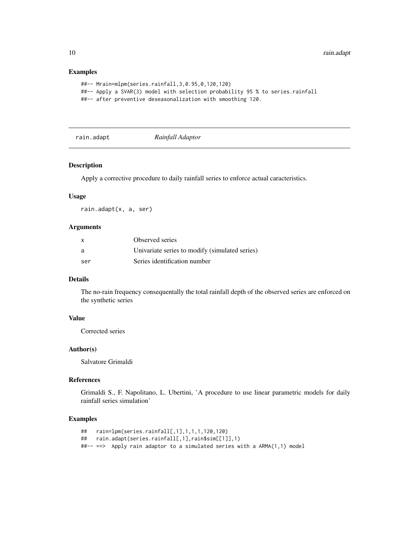# Examples

```
##-- Mrain=mlpm(series.rainfall,3,0.95,0,120,120)
##-- Apply a SVAR(3) model with selection probability 95 % to series.rainfall
##-- after preventive deseasonalization with smoothing 120.
```
<span id="page-9-1"></span>rain.adapt *Rainfall Adaptor*

#### Description

Apply a corrective procedure to daily rainfall series to enforce actual caracteristics.

#### Usage

rain.adapt(x, a, ser)

#### Arguments

| X   | Observed series                                |
|-----|------------------------------------------------|
| a   | Univariate series to modify (simulated series) |
| ser | Series identification number                   |

#### Details

The no-rain frequency consequentally the total rainfall depth of the observed series are enforced on the synthetic series

#### Value

Corrected series

#### Author(s)

Salvatore Grimaldi

# References

Grimaldi S., F. Napolitano, L. Ubertini, 'A procedure to use linear parametric models for daily rainfall series simulation'

#### Examples

```
## rain=lpm(series.rainfall[,1],1,1,1,120,120)
## rain.adapt(series.rainfall[,1],rain$sim[[1]],1)
```
##-- ==> Apply rain adaptor to a simulated series with a ARMA(1,1) model

<span id="page-9-0"></span>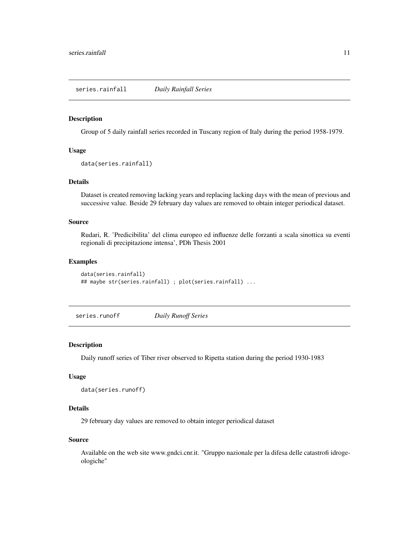<span id="page-10-0"></span>series.rainfall *Daily Rainfall Series*

#### Description

Group of 5 daily rainfall series recorded in Tuscany region of Italy during the period 1958-1979.

# Usage

```
data(series.rainfall)
```
#### Details

Dataset is created removing lacking years and replacing lacking days with the mean of previous and successive value. Beside 29 february day values are removed to obtain integer periodical dataset.

#### Source

Rudari, R. 'Predicibilita' del clima europeo ed influenze delle forzanti a scala sinottica su eventi regionali di precipitazione intensa', PDh Thesis 2001

#### Examples

```
data(series.rainfall)
## maybe str(series.rainfall) ; plot(series.rainfall) ...
```
series.runoff *Daily Runoff Series*

#### Description

Daily runoff series of Tiber river observed to Ripetta station during the period 1930-1983

#### Usage

```
data(series.runoff)
```
# Details

29 february day values are removed to obtain integer periodical dataset

#### Source

Available on the web site www.gndci.cnr.it. "Gruppo nazionale per la difesa delle catastrofi idrogeologiche"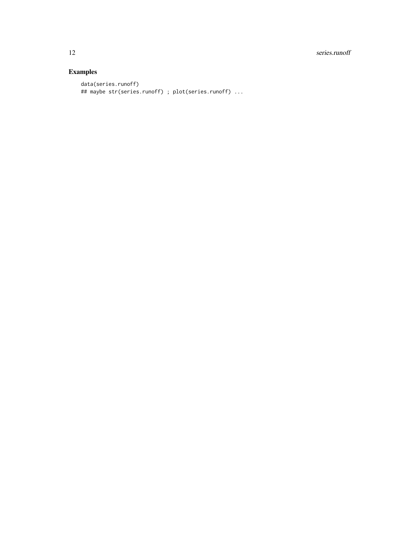# 12 series.runoff

# Examples

```
data(series.runoff)
## maybe str(series.runoff) ; plot(series.runoff) ...
```